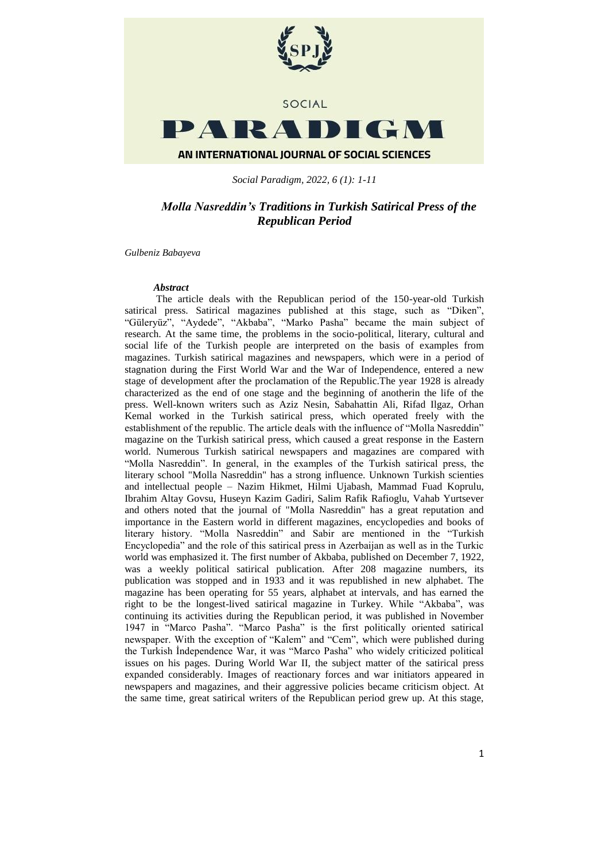

*Social Paradigm, 2022, 6 (1): 1-11*

# *Molla Nasreddin's Traditions in Turkish Satirical Press of the Republican Period*

*Gulbeniz Babayeva*

### *Abstract*

The article deals with the Republican period of the 150-year-old Turkish satirical press. Satirical magazines published at this stage, such as "Diken", "Güleryüz", "Aydede", "Akbaba", "Marko Pasha" became the main subject of research. At the same time, the problems in the socio-political, literary, cultural and social life of the Turkish people are interpreted on the basis of examples from magazines. Turkish satirical magazines and newspapers, which were in a period of stagnation during the First World War and the War of Independence, entered a new stage of development after the proclamation of the Republic.The year 1928 is already characterized as the end of one stage and the beginning of anotherin the life of the press. Well-known writers such as Aziz Nesin, Sabahattin Ali, Rifad Ilgaz, Orhan Kemal worked in the Turkish satirical press, which operated freely with the establishment of the republic. The article deals with the influence of "Molla Nasreddin" magazine on the Turkish satirical press, which caused a great response in the Eastern world. Numerous Turkish satirical newspapers and magazines are compared with "Molla Nasreddin". In general, in the examples of the Turkish satirical press, the literary school "Molla Nasreddin" has a strong influence. Unknown Turkish scienties and intellectual people – Nazim Hikmet, Hilmi Ujabash, Mammad Fuad Koprulu, Ibrahim Altay Govsu, Huseyn Kazim Gadiri, Salim Rafik Rafioglu, Vahab Yurtsever and others noted that the journal of "Molla Nasreddin" has a great reputation and importance in the Eastern world in different magazines, encyclopedies and books of literary history. "Molla Nasreddin" and Sabir are mentioned in the "Turkish Encyclopedia" and the role of this satirical press in Azerbaijan as well as in the Turkic world was emphasized it. The first number of Akbaba, published on December 7, 1922, was a weekly political satirical publication. After 208 magazine numbers, its publication was stopped and in 1933 and it was republished in new alphabet. The magazine has been operating for 55 years, alphabet at intervals, and has earned the right to be the longest-lived satirical magazine in Turkey. While "Akbaba", was continuing its activities during the Republican period, it was published in November 1947 in "Marco Pasha". "Marco Pasha" is the first politically oriented satirical newspaper. With the exception of "Kalem" and "Cem", which were published during the Turkish İndependence War, it was "Marco Pasha" who widely criticized political issues on his pages. During World War II, the subject matter of the satirical press expanded considerably. Images of reactionary forces and war initiators appeared in newspapers and magazines, and their aggressive policies became criticism object. At the same time, great satirical writers of the Republican period grew up. At this stage,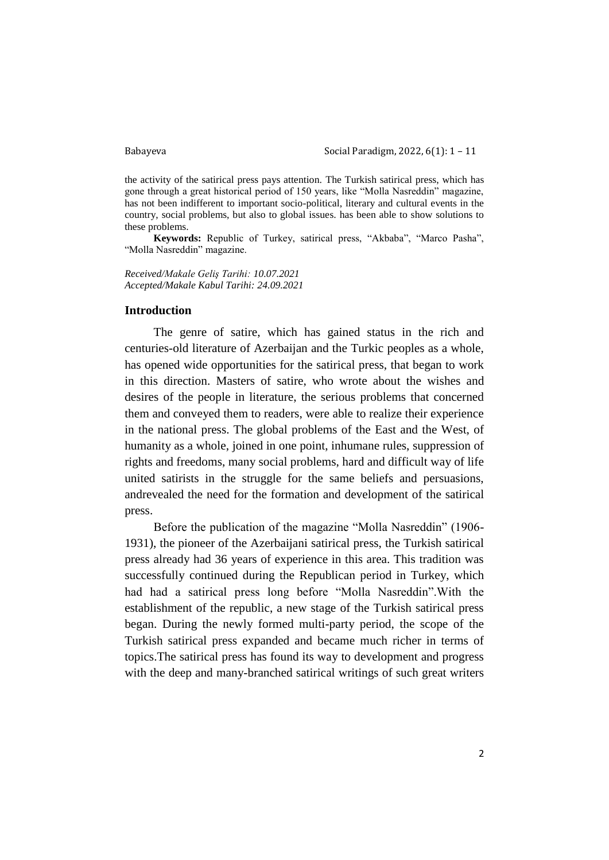Babayeva Social Paradigm, 2022, 6(1): 1 – 11

the activity of the satirical press pays attention. The Turkish satirical press, which has gone through a great historical period of 150 years, like "Molla Nasreddin" magazine, has not been indifferent to important socio-political, literary and cultural events in the country, social problems, but also to global issues. has been able to show solutions to these problems.

**Keywords:** Republic of Turkey, satirical press, "Akbaba", "Marco Pasha", "Molla Nasreddin" magazine.

*Received/Makale Geliş Tarihi: 10.07.2021 Accepted/Makale Kabul Tarihi: 24.09.2021*

## **Introduction**

The genre of satire, which has gained status in the rich and centuries-old literature of Azerbaijan and the Turkic peoples as a whole, has opened wide opportunities for the satirical press, that began to work in this direction. Masters of satire, who wrote about the wishes and desires of the people in literature, the serious problems that concerned them and conveyed them to readers, were able to realize their experience in the national press. The global problems of the East and the West, of humanity as a whole, joined in one point, inhumane rules, suppression of rights and freedoms, many social problems, hard and difficult way of life united satirists in the struggle for the same beliefs and persuasions, andrevealed the need for the formation and development of the satirical press.

Before the publication of the magazine "Molla Nasreddin" (1906- 1931), the pioneer of the Azerbaijani satirical press, the Turkish satirical press already had 36 years of experience in this area. This tradition was successfully continued during the Republican period in Turkey, which had had a satirical press long before "Molla Nasreddin".With the establishment of the republic, a new stage of the Turkish satirical press began. During the newly formed multi-party period, the scope of the Turkish satirical press expanded and became much richer in terms of topics.The satirical press has found its way to development and progress with the deep and many-branched satirical writings of such great writers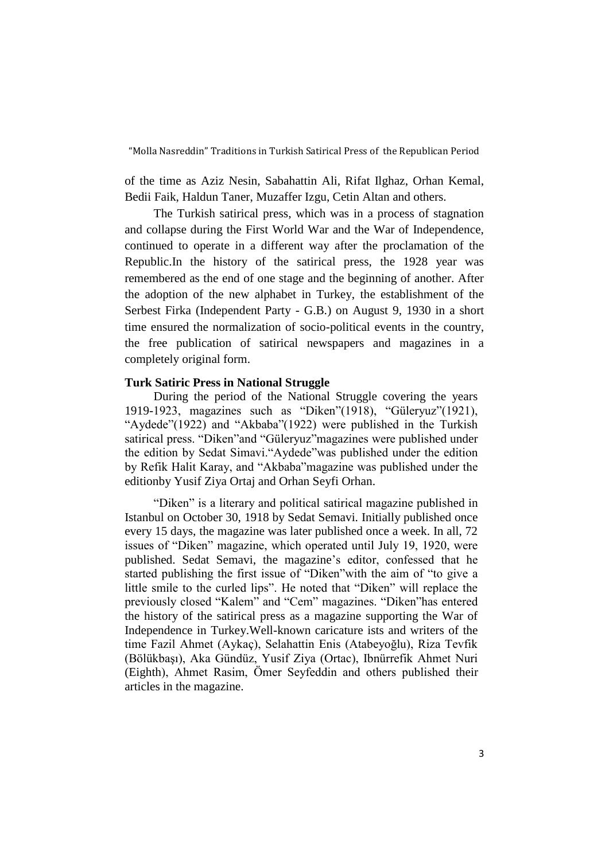of the time as Aziz Nesin, Sabahattin Ali, Rifat Ilghaz, Orhan Kemal, Bedii Faik, Haldun Taner, Muzaffer Izgu, Cetin Altan and others.

The Turkish satirical press, which was in a process of stagnation and collapse during the First World War and the War of Independence, continued to operate in a different way after the proclamation of the Republic.In the history of the satirical press, the 1928 year was remembered as the end of one stage and the beginning of another. After the adoption of the new alphabet in Turkey, the establishment of the Serbest Firka (Independent Party - G.B.) on August 9, 1930 in a short time ensured the normalization of socio-political events in the country, the free publication of satirical newspapers and magazines in a completely original form.

## **Turk Satiric Press in National Struggle**

During the period of the National Struggle covering the years 1919-1923, magazines such as "Diken"(1918), "Güleryuz"(1921), "Aydede"(1922) and "Akbaba"(1922) were published in the Turkish satirical press. "Diken"and "Güleryuz"magazines were published under the edition by Sedat Simavi."Aydede"was published under the edition by Refik Halit Karay, and "Akbaba"magazine was published under the editionby Yusif Ziya Ortaj and Orhan Seyfi Orhan.

"Diken" is a literary and political satirical magazine published in Istanbul on October 30, 1918 by Sedat Semavi. Initially published once every 15 days, the magazine was later published once a week. In all, 72 issues of "Diken" magazine, which operated until July 19, 1920, were published. Sedat Semavi, the magazine's editor, confessed that he started publishing the first issue of "Diken"with the aim of "to give a little smile to the curled lips". He noted that "Diken" will replace the previously closed "Kalem" and "Cem" magazines. "Diken"has entered the history of the satirical press as a magazine supporting the War of Independence in Turkey.Well-known caricature ists and writers of the time Fazil Ahmet (Aykaç), Selahattin Enis (Atabeyoğlu), Riza Tevfik (Bölükbaşı), Aka Gündüz, Yusif Ziya (Ortac), Ibnürrefik Ahmet Nuri (Eighth), Ahmet Rasim, Ömer Seyfeddin and others published their articles in the magazine.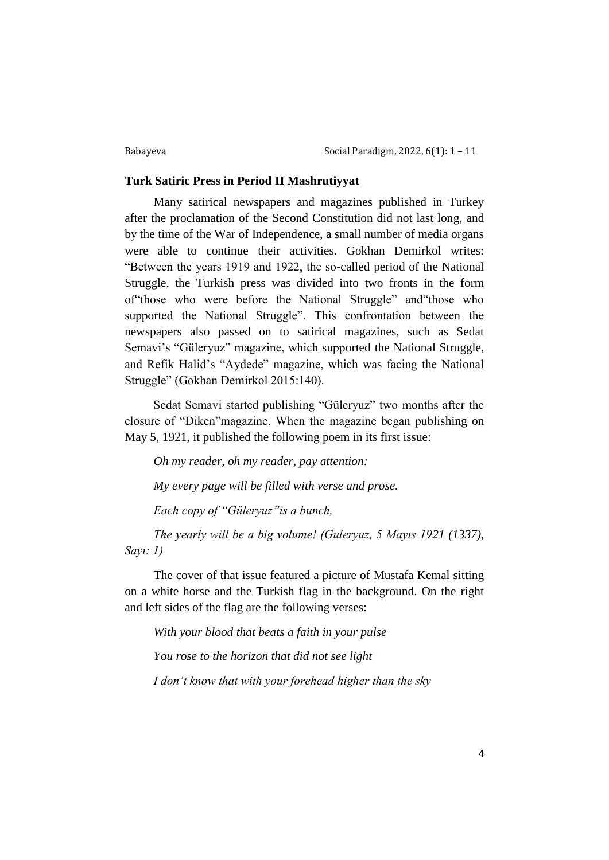## **Turk Satiric Press in Period II Mashrutiyyat**

Many satirical newspapers and magazines published in Turkey after the proclamation of the Second Constitution did not last long, and by the time of the War of Independence, a small number of media organs were able to continue their activities. Gokhan Demirkol writes: "Between the years 1919 and 1922, the so-called period of the National Struggle, the Turkish press was divided into two fronts in the form of"those who were before the National Struggle" and"those who supported the National Struggle". This confrontation between the newspapers also passed on to satirical magazines, such as Sedat Semavi's "Güleryuz" magazine, which supported the National Struggle, and Refik Halid's "Aydede" magazine, which was facing the National Struggle" (Gokhan Demirkol 2015:140).

Sedat Semavi started publishing "Güleryuz" two months after the closure of "Diken"magazine. When the magazine began publishing on May 5, 1921, it published the following poem in its first issue:

*Oh my reader, oh my reader, pay attention: My every page will be filled with verse and prose.*

*Each copy of "Güleryuz"is a bunch,*

*The yearly will be a big volume! (Guleryuz, 5 Mayıs 1921 (1337), Sayı: 1)*

The cover of that issue featured a picture of Mustafa Kemal sitting on a white horse and the Turkish flag in the background. On the right and left sides of the flag are the following verses:

*With your blood that beats a faith in your pulse*

*You rose to the horizon that did not see light*

*I don't know that with your forehead higher than the sky*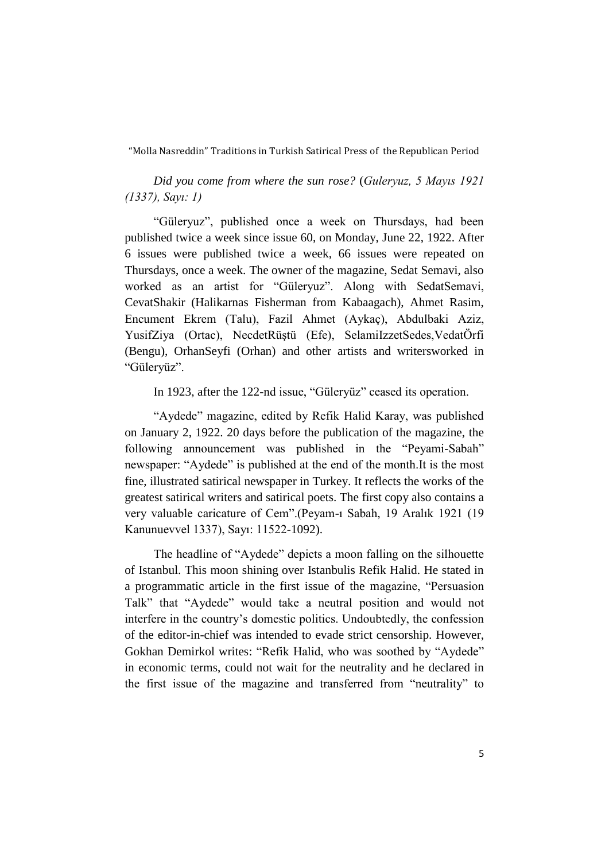*Did you come from where the sun rose?* (*Guleryuz, 5 Mayıs 1921 (1337), Sayı: 1)*

"Güleryuz", published once a week on Thursdays, had been published twice a week since issue 60, on Monday, June 22, 1922. After 6 issues were published twice a week, 66 issues were repeated on Thursdays, once a week. The owner of the magazine, Sedat Semavi, also worked as an artist for "Güleryuz". Along with SedatSemavi, CevatShakir (Halikarnas Fisherman from Kabaagach), Ahmet Rasim, Encument Ekrem (Talu), Fazil Ahmet (Aykaç), Abdulbaki Aziz, YusifZiya (Ortac), NecdetRüştü (Efe), SelamiIzzetSedes,VedatÖrfi (Bengu), OrhanSeyfi (Orhan) and other artists and writersworked in "Güleryüz".

In 1923, after the 122-nd issue, "Güleryüz" ceased its operation.

"Aydede" magazine, edited by Refik Halid Karay, was published on January 2, 1922. 20 days before the publication of the magazine, the following announcement was published in the "Peyami-Sabah" newspaper: "Aydede" is published at the end of the month.It is the most fine, illustrated satirical newspaper in Turkey. It reflects the works of the greatest satirical writers and satirical poets. The first copy also contains a very valuable caricature of Cem".(Peyam-ı Sabah, 19 Aralık 1921 (19 Kanunuevvel 1337), Sayı: 11522-1092).

The headline of "Aydede" depicts a moon falling on the silhouette of Istanbul. This moon shining over Istanbulis Refik Halid. He stated in a programmatic article in the first issue of the magazine, "Persuasion Talk" that "Aydede" would take a neutral position and would not interfere in the country's domestic politics. Undoubtedly, the confession of the editor-in-chief was intended to evade strict censorship. However, Gokhan Demirkol writes: "Refik Halid, who was soothed by "Aydede" in economic terms, could not wait for the neutrality and he declared in the first issue of the magazine and transferred from "neutrality" to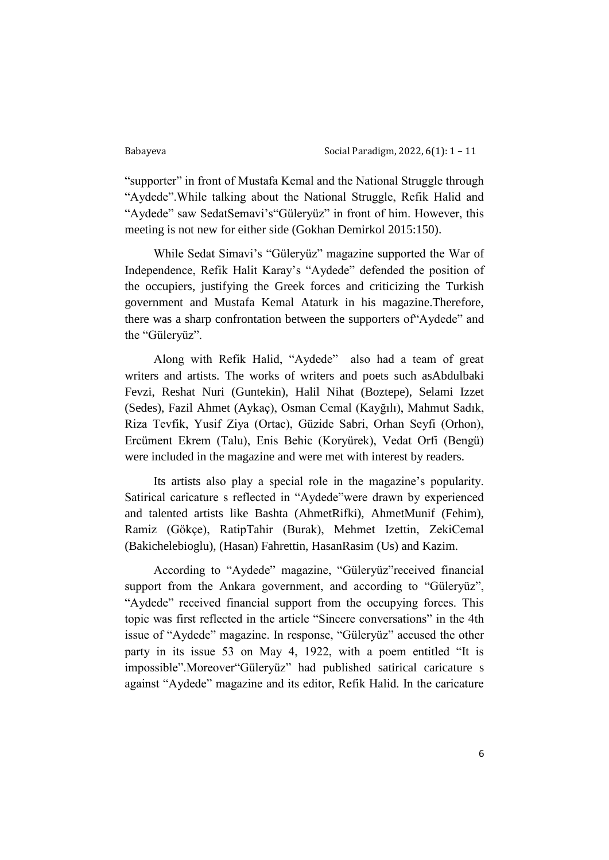"supporter" in front of Mustafa Kemal and the National Struggle through "Aydede".While talking about the National Struggle, Refik Halid and "Aydede" saw SedatSemavi's"Güleryüz" in front of him. However, this meeting is not new for either side (Gokhan Demirkol 2015:150).

While Sedat Simavi's "Güleryüz" magazine supported the War of Independence, Refik Halit Karay's "Aydede" defended the position of the occupiers, justifying the Greek forces and criticizing the Turkish government and Mustafa Kemal Ataturk in his magazine.Therefore, there was a sharp confrontation between the supporters of"Aydede" and the "Güleryüz".

Along with Refik Halid, "Aydede" also had a team of great writers and artists. The works of writers and poets such asAbdulbaki Fevzi, Reshat Nuri (Guntekin), Halil Nihat (Boztepe), Selami Izzet (Sedes), Fazil Ahmet (Aykaç), Osman Cemal (Kayğılı), Mahmut Sadık, Riza Tevfik, Yusif Ziya (Ortac), Güzide Sabri, Orhan Seyfi (Orhon), Ercüment Ekrem (Talu), Enis Behic (Koryürek), Vedat Orfi (Bengü) were included in the magazine and were met with interest by readers.

Its artists also play a special role in the magazine's popularity. Satirical caricature s reflected in "Aydede"were drawn by experienced and talented artists like Bashta (AhmetRifki), AhmetMunif (Fehim), Ramiz (Gökçe), RatipTahir (Burak), Mehmet Izettin, ZekiCemal (Bakichelebioglu), (Hasan) Fahrettin, HasanRasim (Us) and Kazim.

According to "Aydede" magazine, "Güleryüz"received financial support from the Ankara government, and according to "Güleryüz", "Aydede" received financial support from the occupying forces. This topic was first reflected in the article "Sincere conversations" in the 4th issue of "Aydede" magazine. In response, "Güleryüz" accused the other party in its issue 53 on May 4, 1922, with a poem entitled "It is impossible".Moreover"Güleryüz" had published satirical caricature s against "Aydede" magazine and its editor, Refik Halid. In the caricature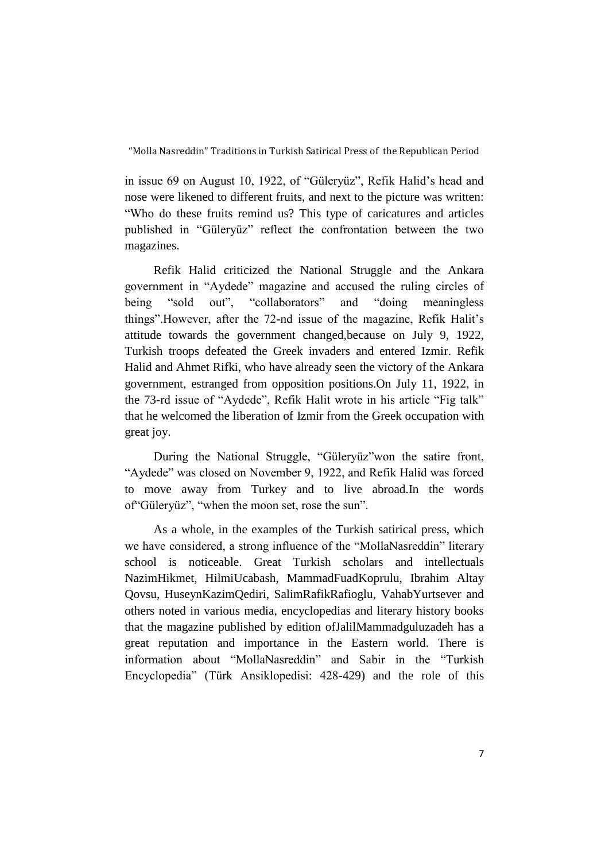in issue 69 on August 10, 1922, of "Güleryüz", Refik Halid's head and nose were likened to different fruits, and next to the picture was written: "Who do these fruits remind us? This type of caricatures and articles published in "Güleryüz" reflect the confrontation between the two magazines.

Refik Halid criticized the National Struggle and the Ankara government in "Aydede" magazine and accused the ruling circles of being "sold out", "collaborators" and "doing meaningless things".However, after the 72-nd issue of the magazine, Refik Halit's attitude towards the government changed,because on July 9, 1922, Turkish troops defeated the Greek invaders and entered Izmir. Refik Halid and Ahmet Rifki, who have already seen the victory of the Ankara government, estranged from opposition positions.On July 11, 1922, in the 73-rd issue of "Aydede", Refik Halit wrote in his article "Fig talk" that he welcomed the liberation of Izmir from the Greek occupation with great joy.

During the National Struggle, "Güleryüz"won the satire front, "Aydede" was closed on November 9, 1922, and Refik Halid was forced to move away from Turkey and to live abroad.In the words of"Güleryüz", "when the moon set, rose the sun".

As a whole, in the examples of the Turkish satirical press, which we have considered, a strong influence of the "MollaNasreddin" literary school is noticeable. Great Turkish scholars and intellectuals NazimHikmet, HilmiUcabash, MammadFuadKoprulu, Ibrahim Altay Qovsu, HuseynKazimQediri, SalimRafikRafioglu, VahabYurtsever and others noted in various media, encyclopedias and literary history books that the magazine published by edition ofJalilMammadguluzadeh has a great reputation and importance in the Eastern world. There is information about "MollaNasreddin" and Sabir in the "Turkish Encyclopedia" (Türk Ansiklopedisi: 428-429) and the role of this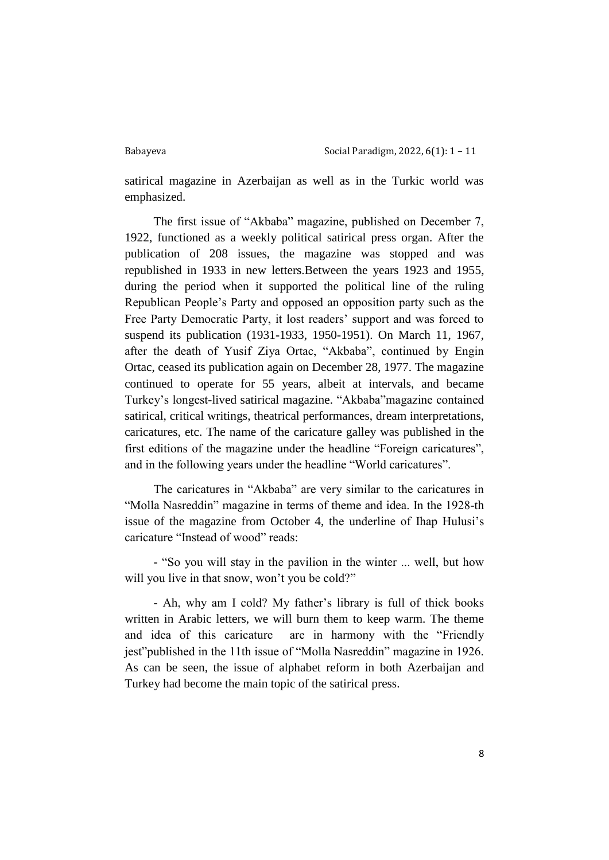satirical magazine in Azerbaijan as well as in the Turkic world was emphasized.

The first issue of "Akbaba" magazine, published on December 7, 1922, functioned as a weekly political satirical press organ. After the publication of 208 issues, the magazine was stopped and was republished in 1933 in new letters.Between the years 1923 and 1955, during the period when it supported the political line of the ruling Republican People's Party and opposed an opposition party such as the Free Party Democratic Party, it lost readers' support and was forced to suspend its publication (1931-1933, 1950-1951). On March 11, 1967, after the death of Yusif Ziya Ortac, "Akbaba", continued by Engin Ortac, ceased its publication again on December 28, 1977. The magazine continued to operate for 55 years, albeit at intervals, and became Turkey's longest-lived satirical magazine. "Akbaba"magazine contained satirical, critical writings, theatrical performances, dream interpretations, caricatures, etc. The name of the caricature galley was published in the first editions of the magazine under the headline "Foreign caricatures", and in the following years under the headline "World caricatures".

The caricatures in "Akbaba" are very similar to the caricatures in "Molla Nasreddin" magazine in terms of theme and idea. In the 1928-th issue of the magazine from October 4, the underline of Ihap Hulusi's caricature "Instead of wood" reads:

- "So you will stay in the pavilion in the winter ... well, but how will you live in that snow, won't you be cold?"

- Ah, why am I cold? My father's library is full of thick books written in Arabic letters, we will burn them to keep warm. The theme and idea of this caricature are in harmony with the "Friendly jest"published in the 11th issue of "Molla Nasreddin" magazine in 1926. As can be seen, the issue of alphabet reform in both Azerbaijan and Turkey had become the main topic of the satirical press.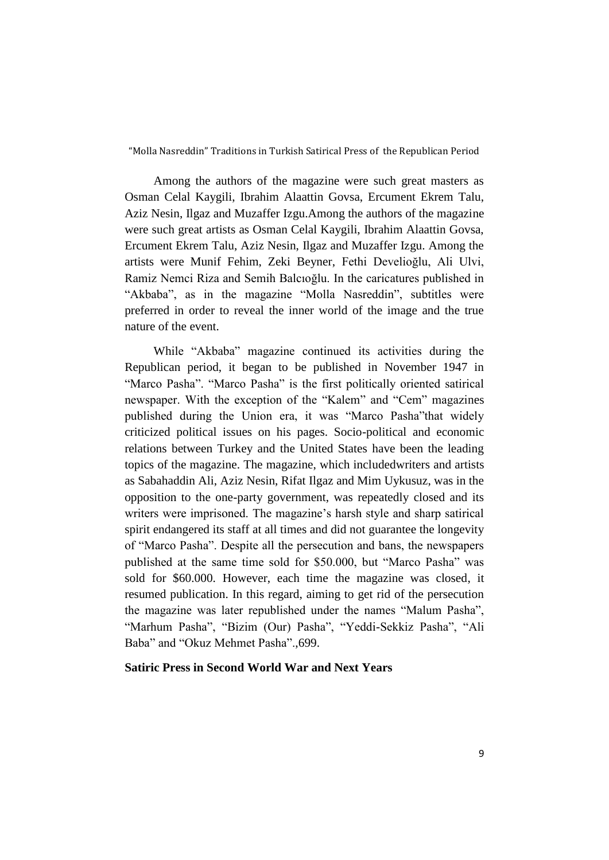Among the authors of the magazine were such great masters as Osman Celal Kaygili, Ibrahim Alaattin Govsa, Ercument Ekrem Talu, Aziz Nesin, Ilgaz and Muzaffer Izgu.Among the authors of the magazine were such great artists as Osman Celal Kaygili, Ibrahim Alaattin Govsa, Ercument Ekrem Talu, Aziz Nesin, Ilgaz and Muzaffer Izgu. Among the artists were Munif Fehim, Zeki Beyner, Fethi Develioğlu, Ali Ulvi, Ramiz Nemci Riza and Semih Balcıoğlu. In the caricatures published in "Akbaba", as in the magazine "Molla Nasreddin", subtitles were preferred in order to reveal the inner world of the image and the true nature of the event.

While "Akbaba" magazine continued its activities during the Republican period, it began to be published in November 1947 in "Marco Pasha". "Marco Pasha" is the first politically oriented satirical newspaper. With the exception of the "Kalem" and "Cem" magazines published during the Union era, it was "Marco Pasha"that widely criticized political issues on his pages. Socio-political and economic relations between Turkey and the United States have been the leading topics of the magazine. The magazine, which includedwriters and artists as Sabahaddin Ali, Aziz Nesin, Rifat Ilgaz and Mim Uykusuz, was in the opposition to the one-party government, was repeatedly closed and its writers were imprisoned. The magazine's harsh style and sharp satirical spirit endangered its staff at all times and did not guarantee the longevity of "Marco Pasha". Despite all the persecution and bans, the newspapers published at the same time sold for \$50.000, but "Marco Pasha" was sold for \$60.000. However, each time the magazine was closed, it resumed publication. In this regard, aiming to get rid of the persecution the magazine was later republished under the names "Malum Pasha", "Marhum Pasha", "Bizim (Our) Pasha", "Yeddi-Sekkiz Pasha", "Ali Baba" and "Okuz Mehmet Pasha".,699.

# **Satiric Press in Second World War and Next Years**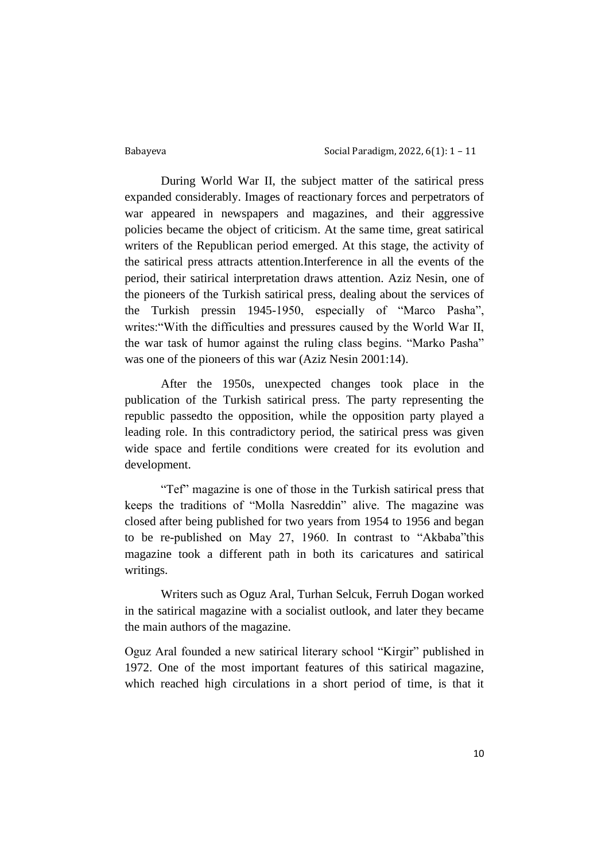Babayeva Social Paradigm, 2022, 6(1): 1 – 11

During World War II, the subject matter of the satirical press expanded considerably. Images of reactionary forces and perpetrators of war appeared in newspapers and magazines, and their aggressive policies became the object of criticism. At the same time, great satirical writers of the Republican period emerged. At this stage, the activity of the satirical press attracts attention.Interference in all the events of the period, their satirical interpretation draws attention. Aziz Nesin, one of the pioneers of the Turkish satirical press, dealing about the services of the Turkish pressin 1945-1950, especially of "Marco Pasha", writes:"With the difficulties and pressures caused by the World War II, the war task of humor against the ruling class begins. "Marko Pasha" was one of the pioneers of this war (Aziz Nesin 2001:14).

After the 1950s, unexpected changes took place in the publication of the Turkish satirical press. The party representing the republic passedto the opposition, while the opposition party played a leading role. In this contradictory period, the satirical press was given wide space and fertile conditions were created for its evolution and development.

"Tef" magazine is one of those in the Turkish satirical press that keeps the traditions of "Molla Nasreddin" alive. The magazine was closed after being published for two years from 1954 to 1956 and began to be re-published on May 27, 1960. In contrast to "Akbaba"this magazine took a different path in both its caricatures and satirical writings.

Writers such as Oguz Aral, Turhan Selcuk, Ferruh Dogan worked in the satirical magazine with a socialist outlook, and later they became the main authors of the magazine.

Oguz Aral founded a new satirical literary school "Kirgir" published in 1972. One of the most important features of this satirical magazine, which reached high circulations in a short period of time, is that it